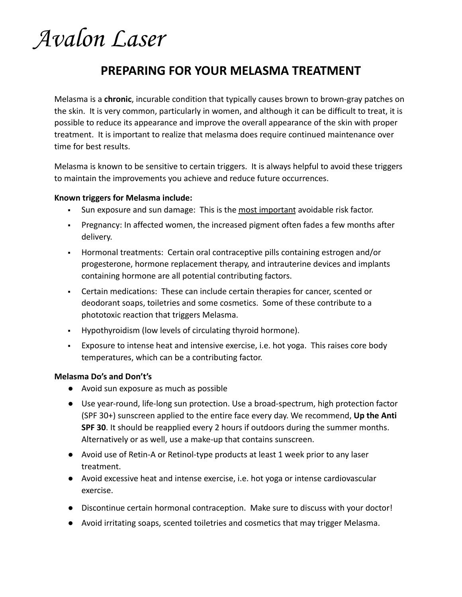## Avalon Laser

### **PREPARING FOR YOUR MELASMA TREATMENT**

Melasma is a **chronic**, incurable condition that typically causes brown to brown-gray patches on the skin. It is very common, particularly in women, and although it can be difficult to treat, it is possible to reduce its appearance and improve the overall appearance of the skin with proper treatment. It is important to realize that melasma does require continued maintenance over time for best results.

Melasma is known to be sensitive to certain triggers. It is always helpful to avoid these triggers to maintain the improvements you achieve and reduce future occurrences.

#### **Known triggers for Melasma include:**

- **EXULE:** Sun exposure and sun damage: This is the most important avoidable risk factor.
- Pregnancy: In affected women, the increased pigment often fades a few months after delivery.
- Hormonal treatments: Certain oral contraceptive pills containing estrogen and/or progesterone, hormone replacement therapy, and intrauterine devices and implants containing hormone are all potential contributing factors.
- Certain medications: These can include certain therapies for cancer, scented or deodorant soaps, toiletries and some cosmetics. Some of these contribute to a phototoxic reaction that triggers Melasma.
- Hypothyroidism (low levels of circulating thyroid hormone).
- Exposure to intense heat and intensive exercise, i.e. hot yoga. This raises core body temperatures, which can be a contributing factor.

#### **Melasma Do's and Don't's**

- Avoid sun exposure as much as possible
- Use year-round, life-long sun protection. Use a broad-spectrum, high protection factor (SPF 30+) sunscreen applied to the entire face every day. We recommend, **Up the Anti SPF 30**. It should be reapplied every 2 hours if outdoors during the summer months. Alternatively or as well, use a make-up that contains sunscreen.
- Avoid use of Retin-A or Retinol-type products at least 1 week prior to any laser treatment.
- Avoid excessive heat and intense exercise, i.e. hot yoga or intense cardiovascular exercise.
- Discontinue certain hormonal contraception. Make sure to discuss with your doctor!
- Avoid irritating soaps, scented toiletries and cosmetics that may trigger Melasma.